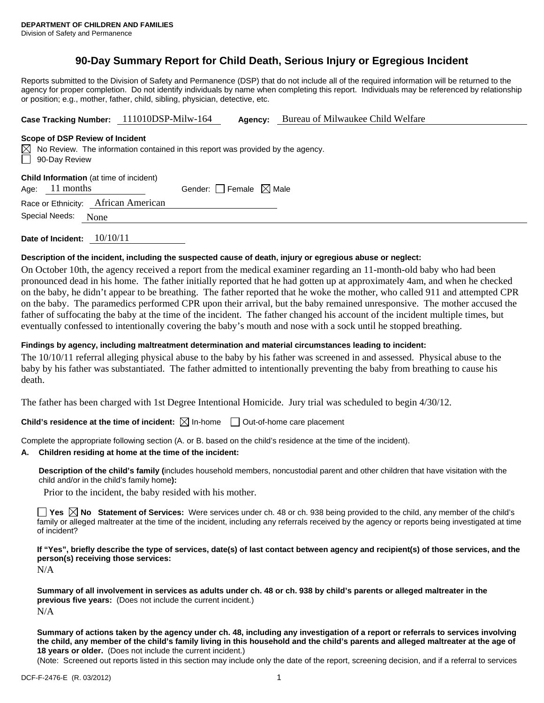# **90-Day Summary Report for Child Death, Serious Injury or Egregious Incident**

Reports submitted to the Division of Safety and Permanence (DSP) that do not include all of the required information will be returned to the agency for proper completion. Do not identify individuals by name when completing this report. Individuals may be referenced by relationship or position; e.g., mother, father, child, sibling, physician, detective, etc.

**Case Tracking Number:** 111010DSP-Milw-164 **Agency:** Bureau of Milwaukee Child Welfare

#### **Scope of DSP Review of Incident**

 $\boxtimes$  No Review. The information contained in this report was provided by the agency. 90-Day Review

**Child Information** (at time of incident)

Age:  $11$  months Gender: Female  $\boxtimes$  Male

Race or Ethnicity: African American

Special Needs: None

**Date of Incident:** 10/10/11

# **Description of the incident, including the suspected cause of death, injury or egregious abuse or neglect:**

On October 10th, the agency received a report from the medical examiner regarding an 11-month-old baby who had been pronounced dead in his home. The father initially reported that he had gotten up at approximately 4am, and when he checked on the baby, he didn't appear to be breathing. The father reported that he woke the mother, who called 911 and attempted CPR on the baby. The paramedics performed CPR upon their arrival, but the baby remained unresponsive. The mother accused the father of suffocating the baby at the time of the incident. The father changed his account of the incident multiple times, but eventually confessed to intentionally covering the baby's mouth and nose with a sock until he stopped breathing.

### **Findings by agency, including maltreatment determination and material circumstances leading to incident:**

The 10/10/11 referral alleging physical abuse to the baby by his father was screened in and assessed. Physical abuse to the baby by his father was substantiated. The father admitted to intentionally preventing the baby from breathing to cause his death.

The father has been charged with 1st Degree Intentional Homicide. Jury trial was scheduled to begin 4/30/12.

**Child's residence at the time of incident:**  $\boxtimes$  In-home  $\Box$  Out-of-home care placement

Complete the appropriate following section (A. or B. based on the child's residence at the time of the incident).

# **A. Children residing at home at the time of the incident:**

**Description of the child's family (**includes household members, noncustodial parent and other children that have visitation with the child and/or in the child's family home**):** 

Prior to the incident, the baby resided with his mother.

**Yes No Statement of Services:** Were services under ch. 48 or ch. 938 being provided to the child, any member of the child's family or alleged maltreater at the time of the incident, including any referrals received by the agency or reports being investigated at time of incident?

**If "Yes", briefly describe the type of services, date(s) of last contact between agency and recipient(s) of those services, and the person(s) receiving those services:** 

N/A

**Summary of all involvement in services as adults under ch. 48 or ch. 938 by child's parents or alleged maltreater in the previous five years:** (Does not include the current incident.) N/A

**Summary of actions taken by the agency under ch. 48, including any investigation of a report or referrals to services involving the child, any member of the child's family living in this household and the child's parents and alleged maltreater at the age of 18 years or older.** (Does not include the current incident.)

(Note: Screened out reports listed in this section may include only the date of the report, screening decision, and if a referral to services